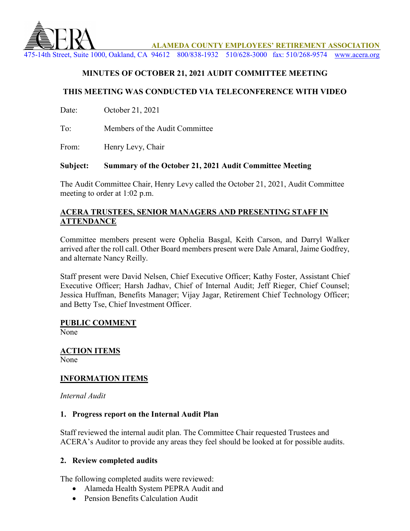

**ALAMEDA COUNTY EMPLOYEES' RETIREMENT ASSOCIATION**

475-14th Street, Suite 1000, Oakland, CA 94612 800/838-1932 510/628-3000 fax: 510/268-9574 [www.acera.org](http://www.acera.org/)

## **MINUTES OF OCTOBER 21, 2021 AUDIT COMMITTEE MEETING**

#### **THIS MEETING WAS CONDUCTED VIA TELECONFERENCE WITH VIDEO**

Date: October 21, 2021

To: Members of the Audit Committee

From: Henry Levy, Chair

#### **Subject: Summary of the October 21, 2021 Audit Committee Meeting**

The Audit Committee Chair, Henry Levy called the October 21, 2021, Audit Committee meeting to order at 1:02 p.m.

#### **ACERA TRUSTEES, SENIOR MANAGERS AND PRESENTING STAFF IN ATTENDANCE**

Committee members present were Ophelia Basgal, Keith Carson, and Darryl Walker arrived after the roll call. Other Board members present were Dale Amaral, Jaime Godfrey, and alternate Nancy Reilly.

Staff present were David Nelsen, Chief Executive Officer; Kathy Foster, Assistant Chief Executive Officer; Harsh Jadhav, Chief of Internal Audit; Jeff Rieger, Chief Counsel; Jessica Huffman, Benefits Manager; Vijay Jagar, Retirement Chief Technology Officer; and Betty Tse, Chief Investment Officer.

#### **PUBLIC COMMENT**

None

**ACTION ITEMS** None

#### **INFORMATION ITEMS**

*Internal Audit*

#### **1. Progress report on the Internal Audit Plan**

Staff reviewed the internal audit plan. The Committee Chair requested Trustees and ACERA's Auditor to provide any areas they feel should be looked at for possible audits.

#### **2. Review completed audits**

The following completed audits were reviewed:

- Alameda Health System PEPRA Audit and
- Pension Benefits Calculation Audit